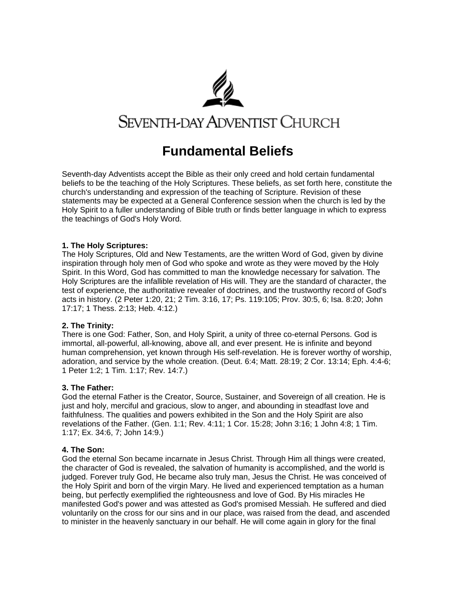

# **SEVENTH-DAY ADVENTIST CHURCH**

# **Fundamental Beliefs**

Seventh-day Adventists accept the Bible as their only creed and hold certain fundamental beliefs to be the teaching of the Holy Scriptures. These beliefs, as set forth here, constitute the church's understanding and expression of the teaching of Scripture. Revision of these statements may be expected at a General Conference session when the church is led by the Holy Spirit to a fuller understanding of Bible truth or finds better language in which to express the teachings of God's Holy Word.

# **1. The Holy Scriptures:**

The Holy Scriptures, Old and New Testaments, are the written Word of God, given by divine inspiration through holy men of God who spoke and wrote as they were moved by the Holy Spirit. In this Word, God has committed to man the knowledge necessary for salvation. The Holy Scriptures are the infallible revelation of His will. They are the standard of character, the test of experience, the authoritative revealer of doctrines, and the trustworthy record of God's acts in history. (2 Peter 1:20, 21; 2 Tim. 3:16, 17; Ps. 119:105; Prov. 30:5, 6; Isa. 8:20; John 17:17; 1 Thess. 2:13; Heb. 4:12.)

# **2. The Trinity:**

There is one God: Father, Son, and Holy Spirit, a unity of three co-eternal Persons. God is immortal, all-powerful, all-knowing, above all, and ever present. He is infinite and beyond human comprehension, yet known through His self-revelation. He is forever worthy of worship, adoration, and service by the whole creation. (Deut. 6:4; Matt. 28:19; 2 Cor. 13:14; Eph. 4:4-6; 1 Peter 1:2; 1 Tim. 1:17; Rev. 14:7.)

# **3. The Father:**

God the eternal Father is the Creator, Source, Sustainer, and Sovereign of all creation. He is just and holy, merciful and gracious, slow to anger, and abounding in steadfast love and faithfulness. The qualities and powers exhibited in the Son and the Holy Spirit are also revelations of the Father. (Gen. 1:1; Rev. 4:11; 1 Cor. 15:28; John 3:16; 1 John 4:8; 1 Tim. 1:17; Ex. 34:6, 7; John 14:9.)

# **4. The Son:**

God the eternal Son became incarnate in Jesus Christ. Through Him all things were created, the character of God is revealed, the salvation of humanity is accomplished, and the world is judged. Forever truly God, He became also truly man, Jesus the Christ. He was conceived of the Holy Spirit and born of the virgin Mary. He lived and experienced temptation as a human being, but perfectly exemplified the righteousness and love of God. By His miracles He manifested God's power and was attested as God's promised Messiah. He suffered and died voluntarily on the cross for our sins and in our place, was raised from the dead, and ascended to minister in the heavenly sanctuary in our behalf. He will come again in glory for the final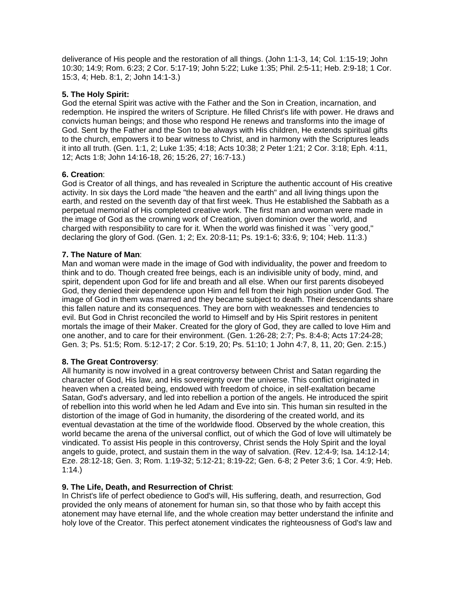deliverance of His people and the restoration of all things. (John 1:1-3, 14; Col. 1:15-19; John 10:30; 14:9; Rom. 6:23; 2 Cor. 5:17-19; John 5:22; Luke 1:35; Phil. 2:5-11; Heb. 2:9-18; 1 Cor. 15:3, 4; Heb. 8:1, 2; John 14:1-3.)

# **5. The Holy Spirit:**

God the eternal Spirit was active with the Father and the Son in Creation, incarnation, and redemption. He inspired the writers of Scripture. He filled Christ's life with power. He draws and convicts human beings; and those who respond He renews and transforms into the image of God. Sent by the Father and the Son to be always with His children, He extends spiritual gifts to the church, empowers it to bear witness to Christ, and in harmony with the Scriptures leads it into all truth. (Gen. 1:1, 2; Luke 1:35; 4:18; Acts 10:38; 2 Peter 1:21; 2 Cor. 3:18; Eph. 4:11, 12; Acts 1:8; John 14:16-18, 26; 15:26, 27; 16:7-13.)

# **6. Creation**:

God is Creator of all things, and has revealed in Scripture the authentic account of His creative activity. In six days the Lord made "the heaven and the earth" and all living things upon the earth, and rested on the seventh day of that first week. Thus He established the Sabbath as a perpetual memorial of His completed creative work. The first man and woman were made in the image of God as the crowning work of Creation, given dominion over the world, and charged with responsibility to care for it. When the world was finished it was ``very good,'' declaring the glory of God. (Gen. 1; 2; Ex. 20:8-11; Ps. 19:1-6; 33:6, 9; 104; Heb. 11:3.)

# **7. The Nature of Man**:

Man and woman were made in the image of God with individuality, the power and freedom to think and to do. Though created free beings, each is an indivisible unity of body, mind, and spirit, dependent upon God for life and breath and all else. When our first parents disobeyed God, they denied their dependence upon Him and fell from their high position under God. The image of God in them was marred and they became subject to death. Their descendants share this fallen nature and its consequences. They are born with weaknesses and tendencies to evil. But God in Christ reconciled the world to Himself and by His Spirit restores in penitent mortals the image of their Maker. Created for the glory of God, they are called to love Him and one another, and to care for their environment. (Gen. 1:26-28; 2:7; Ps. 8:4-8; Acts 17:24-28; Gen. 3; Ps. 51:5; Rom. 5:12-17; 2 Cor. 5:19, 20; Ps. 51:10; 1 John 4:7, 8, 11, 20; Gen. 2:15.)

# **8. The Great Controversy**:

All humanity is now involved in a great controversy between Christ and Satan regarding the character of God, His law, and His sovereignty over the universe. This conflict originated in heaven when a created being, endowed with freedom of choice, in self-exaltation became Satan, God's adversary, and led into rebellion a portion of the angels. He introduced the spirit of rebellion into this world when he led Adam and Eve into sin. This human sin resulted in the distortion of the image of God in humanity, the disordering of the created world, and its eventual devastation at the time of the worldwide flood. Observed by the whole creation, this world became the arena of the universal conflict, out of which the God of love will ultimately be vindicated. To assist His people in this controversy, Christ sends the Holy Spirit and the loyal angels to guide, protect, and sustain them in the way of salvation. (Rev. 12:4-9; Isa. 14:12-14; Eze. 28:12-18; Gen. 3; Rom. 1:19-32; 5:12-21; 8:19-22; Gen. 6-8; 2 Peter 3:6; 1 Cor. 4:9; Heb. 1:14.)

# **9. The Life, Death, and Resurrection of Christ**:

In Christ's life of perfect obedience to God's will, His suffering, death, and resurrection, God provided the only means of atonement for human sin, so that those who by faith accept this atonement may have eternal life, and the whole creation may better understand the infinite and holy love of the Creator. This perfect atonement vindicates the righteousness of God's law and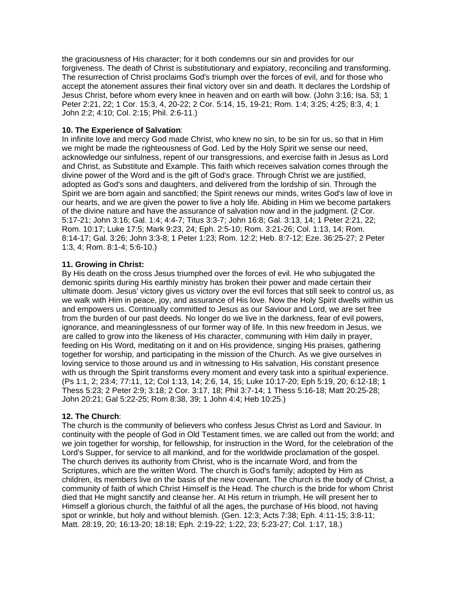the graciousness of His character; for it both condemns our sin and provides for our forgiveness. The death of Christ is substitutionary and expiatory, reconciling and transforming. The resurrection of Christ proclaims God's triumph over the forces of evil, and for those who accept the atonement assures their final victory over sin and death. It declares the Lordship of Jesus Christ, before whom every knee in heaven and on earth will bow. (John 3:16; Isa. 53; 1 Peter 2:21, 22; 1 Cor. 15:3, 4, 20-22; 2 Cor. 5:14, 15, 19-21; Rom. 1:4; 3:25; 4:25; 8:3, 4; 1 John 2:2; 4:10; Col. 2:15; Phil. 2:6-11.)

#### **10. The Experience of Salvation**:

In infinite love and mercy God made Christ, who knew no sin, to be sin for us, so that in Him we might be made the righteousness of God. Led by the Holy Spirit we sense our need, acknowledge our sinfulness, repent of our transgressions, and exercise faith in Jesus as Lord and Christ, as Substitute and Example. This faith which receives salvation comes through the divine power of the Word and is the gift of God's grace. Through Christ we are justified, adopted as God's sons and daughters, and delivered from the lordship of sin. Through the Spirit we are born again and sanctified; the Spirit renews our minds, writes God's law of love in our hearts, and we are given the power to live a holy life. Abiding in Him we become partakers of the divine nature and have the assurance of salvation now and in the judgment. (2 Cor. 5:17-21; John 3:16; Gal. 1:4; 4:4-7; Titus 3:3-7; John 16:8; Gal. 3:13, 14; 1 Peter 2:21, 22; Rom. 10:17; Luke 17:5; Mark 9:23, 24; Eph. 2:5-10; Rom. 3:21-26; Col. 1:13, 14; Rom. 8:14-17; Gal. 3:26; John 3:3-8; 1 Peter 1:23; Rom. 12:2; Heb. 8:7-12; Eze. 36:25-27; 2 Peter 1:3, 4; Rom. 8:1-4; 5:6-10.)

#### **11. Growing in Christ:**

By His death on the cross Jesus triumphed over the forces of evil. He who subjugated the demonic spirits during His earthly ministry has broken their power and made certain their ultimate doom. Jesus' victory gives us victory over the evil forces that still seek to control us, as we walk with Him in peace, joy, and assurance of His love. Now the Holy Spirit dwells within us and empowers us. Continually committed to Jesus as our Saviour and Lord, we are set free from the burden of our past deeds. No longer do we live in the darkness, fear of evil powers, ignorance, and meaninglessness of our former way of life. In this new freedom in Jesus, we are called to grow into the likeness of His character, communing with Him daily in prayer, feeding on His Word, meditating on it and on His providence, singing His praises, gathering together for worship, and participating in the mission of the Church. As we give ourselves in loving service to those around us and in witnessing to His salvation, His constant presence with us through the Spirit transforms every moment and every task into a spiritual experience. (Ps 1:1, 2; 23:4; 77:11, 12; Col 1:13, 14; 2:6, 14, 15; Luke 10:17-20; Eph 5:19, 20; 6:12-18; 1 Thess 5:23; 2 Peter 2:9; 3:18; 2 Cor. 3:17, 18; Phil 3:7-14; 1 Thess 5:16-18; Matt 20:25-28; John 20:21; Gal 5:22-25; Rom 8:38, 39; 1 John 4:4; Heb 10:25.)

# **12. The Church**:

The church is the community of believers who confess Jesus Christ as Lord and Saviour. In continuity with the people of God in Old Testament times, we are called out from the world; and we join together for worship, for fellowship, for instruction in the Word, for the celebration of the Lord's Supper, for service to all mankind, and for the worldwide proclamation of the gospel. The church derives its authority from Christ, who is the incarnate Word, and from the Scriptures, which are the written Word. The church is God's family; adopted by Him as children, its members live on the basis of the new covenant. The church is the body of Christ, a community of faith of which Christ Himself is the Head. The church is the bride for whom Christ died that He might sanctify and cleanse her. At His return in triumph, He will present her to Himself a glorious church, the faithful of all the ages, the purchase of His blood, not having spot or wrinkle, but holy and without blemish. (Gen. 12:3; Acts 7:38; Eph. 4:11-15; 3:8-11; Matt. 28:19, 20; 16:13-20; 18:18; Eph. 2:19-22; 1:22, 23; 5:23-27; Col. 1:17, 18.)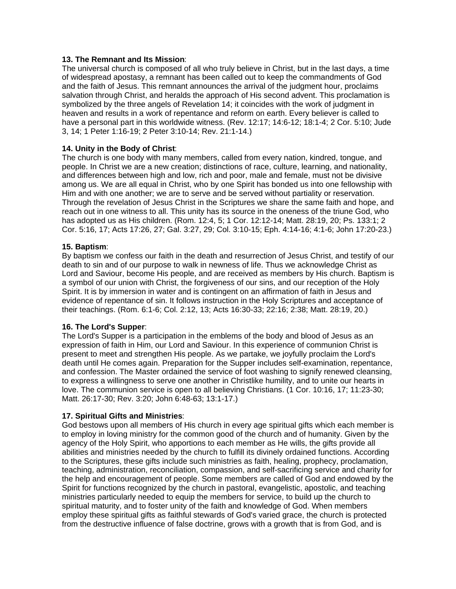# **13. The Remnant and Its Mission**:

The universal church is composed of all who truly believe in Christ, but in the last days, a time of widespread apostasy, a remnant has been called out to keep the commandments of God and the faith of Jesus. This remnant announces the arrival of the judgment hour, proclaims salvation through Christ, and heralds the approach of His second advent. This proclamation is symbolized by the three angels of Revelation 14; it coincides with the work of judgment in heaven and results in a work of repentance and reform on earth. Every believer is called to have a personal part in this worldwide witness. (Rev. 12:17; 14:6-12; 18:1-4; 2 Cor. 5:10; Jude 3, 14; 1 Peter 1:16-19; 2 Peter 3:10-14; Rev. 21:1-14.)

# **14. Unity in the Body of Christ**:

The church is one body with many members, called from every nation, kindred, tongue, and people. In Christ we are a new creation; distinctions of race, culture, learning, and nationality, and differences between high and low, rich and poor, male and female, must not be divisive among us. We are all equal in Christ, who by one Spirit has bonded us into one fellowship with Him and with one another; we are to serve and be served without partiality or reservation. Through the revelation of Jesus Christ in the Scriptures we share the same faith and hope, and reach out in one witness to all. This unity has its source in the oneness of the triune God, who has adopted us as His children. (Rom. 12:4, 5; 1 Cor. 12:12-14; Matt. 28:19, 20; Ps. 133:1; 2 Cor. 5:16, 17; Acts 17:26, 27; Gal. 3:27, 29; Col. 3:10-15; Eph. 4:14-16; 4:1-6; John 17:20-23.)

# **15. Baptism**:

By baptism we confess our faith in the death and resurrection of Jesus Christ, and testify of our death to sin and of our purpose to walk in newness of life. Thus we acknowledge Christ as Lord and Saviour, become His people, and are received as members by His church. Baptism is a symbol of our union with Christ, the forgiveness of our sins, and our reception of the Holy Spirit. It is by immersion in water and is contingent on an affirmation of faith in Jesus and evidence of repentance of sin. It follows instruction in the Holy Scriptures and acceptance of their teachings. (Rom. 6:1-6; Col. 2:12, 13; Acts 16:30-33; 22:16; 2:38; Matt. 28:19, 20.)

# **16. The Lord's Supper**:

The Lord's Supper is a participation in the emblems of the body and blood of Jesus as an expression of faith in Him, our Lord and Saviour. In this experience of communion Christ is present to meet and strengthen His people. As we partake, we joyfully proclaim the Lord's death until He comes again. Preparation for the Supper includes self-examination, repentance, and confession. The Master ordained the service of foot washing to signify renewed cleansing, to express a willingness to serve one another in Christlike humility, and to unite our hearts in love. The communion service is open to all believing Christians. (1 Cor. 10:16, 17; 11:23-30; Matt. 26:17-30; Rev. 3:20; John 6:48-63; 13:1-17.)

# **17. Spiritual Gifts and Ministries**:

God bestows upon all members of His church in every age spiritual gifts which each member is to employ in loving ministry for the common good of the church and of humanity. Given by the agency of the Holy Spirit, who apportions to each member as He wills, the gifts provide all abilities and ministries needed by the church to fulfill its divinely ordained functions. According to the Scriptures, these gifts include such ministries as faith, healing, prophecy, proclamation, teaching, administration, reconciliation, compassion, and self-sacrificing service and charity for the help and encouragement of people. Some members are called of God and endowed by the Spirit for functions recognized by the church in pastoral, evangelistic, apostolic, and teaching ministries particularly needed to equip the members for service, to build up the church to spiritual maturity, and to foster unity of the faith and knowledge of God. When members employ these spiritual gifts as faithful stewards of God's varied grace, the church is protected from the destructive influence of false doctrine, grows with a growth that is from God, and is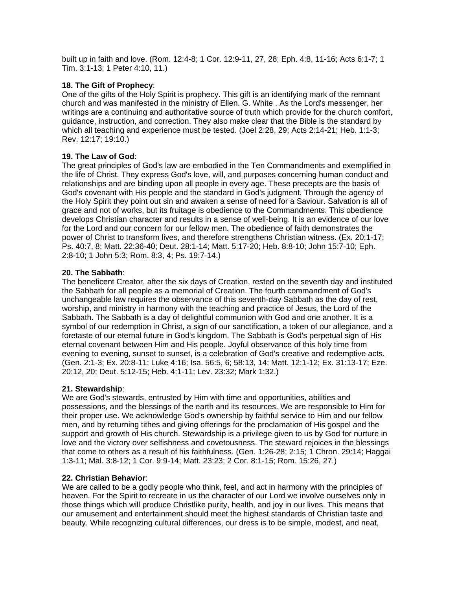built up in faith and love. (Rom. 12:4-8; 1 Cor. 12:9-11, 27, 28; Eph. 4:8, 11-16; Acts 6:1-7; 1 Tim. 3:1-13; 1 Peter 4:10, 11.)

# **18. The Gift of Prophecy**:

One of the gifts of the Holy Spirit is prophecy. This gift is an identifying mark of the remnant church and was manifested in the ministry of Ellen. G. White . As the Lord's messenger, her writings are a continuing and authoritative source of truth which provide for the church comfort, guidance, instruction, and correction. They also make clear that the Bible is the standard by which all teaching and experience must be tested. (Joel 2:28, 29; Acts 2:14-21; Heb. 1:1-3; Rev. 12:17; 19:10.)

#### **19. The Law of God**:

The great principles of God's law are embodied in the Ten Commandments and exemplified in the life of Christ. They express God's love, will, and purposes concerning human conduct and relationships and are binding upon all people in every age. These precepts are the basis of God's covenant with His people and the standard in God's judgment. Through the agency of the Holy Spirit they point out sin and awaken a sense of need for a Saviour. Salvation is all of grace and not of works, but its fruitage is obedience to the Commandments. This obedience develops Christian character and results in a sense of well-being. It is an evidence of our love for the Lord and our concern for our fellow men. The obedience of faith demonstrates the power of Christ to transform lives, and therefore strengthens Christian witness. (Ex. 20:1-17; Ps. 40:7, 8; Matt. 22:36-40; Deut. 28:1-14; Matt. 5:17-20; Heb. 8:8-10; John 15:7-10; Eph. 2:8-10; 1 John 5:3; Rom. 8:3, 4; Ps. 19:7-14.)

#### **20. The Sabbath**:

The beneficent Creator, after the six days of Creation, rested on the seventh day and instituted the Sabbath for all people as a memorial of Creation. The fourth commandment of God's unchangeable law requires the observance of this seventh-day Sabbath as the day of rest, worship, and ministry in harmony with the teaching and practice of Jesus, the Lord of the Sabbath. The Sabbath is a day of delightful communion with God and one another. It is a symbol of our redemption in Christ, a sign of our sanctification, a token of our allegiance, and a foretaste of our eternal future in God's kingdom. The Sabbath is God's perpetual sign of His eternal covenant between Him and His people. Joyful observance of this holy time from evening to evening, sunset to sunset, is a celebration of God's creative and redemptive acts. (Gen. 2:1-3; Ex. 20:8-11; Luke 4:16; Isa. 56:5, 6; 58:13, 14; Matt. 12:1-12; Ex. 31:13-17; Eze. 20:12, 20; Deut. 5:12-15; Heb. 4:1-11; Lev. 23:32; Mark 1:32.)

# **21. Stewardship**:

We are God's stewards, entrusted by Him with time and opportunities, abilities and possessions, and the blessings of the earth and its resources. We are responsible to Him for their proper use. We acknowledge God's ownership by faithful service to Him and our fellow men, and by returning tithes and giving offerings for the proclamation of His gospel and the support and growth of His church. Stewardship is a privilege given to us by God for nurture in love and the victory over selfishness and covetousness. The steward rejoices in the blessings that come to others as a result of his faithfulness. (Gen. 1:26-28; 2:15; 1 Chron. 29:14; Haggai 1:3-11; Mal. 3:8-12; 1 Cor. 9:9-14; Matt. 23:23; 2 Cor. 8:1-15; Rom. 15:26, 27.)

# **22. Christian Behavior**:

We are called to be a godly people who think, feel, and act in harmony with the principles of heaven. For the Spirit to recreate in us the character of our Lord we involve ourselves only in those things which will produce Christlike purity, health, and joy in our lives. This means that our amusement and entertainment should meet the highest standards of Christian taste and beauty. While recognizing cultural differences, our dress is to be simple, modest, and neat,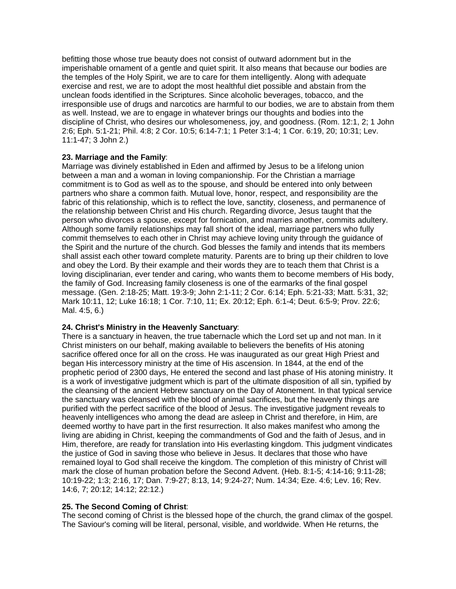befitting those whose true beauty does not consist of outward adornment but in the imperishable ornament of a gentle and quiet spirit. It also means that because our bodies are the temples of the Holy Spirit, we are to care for them intelligently. Along with adequate exercise and rest, we are to adopt the most healthful diet possible and abstain from the unclean foods identified in the Scriptures. Since alcoholic beverages, tobacco, and the irresponsible use of drugs and narcotics are harmful to our bodies, we are to abstain from them as well. Instead, we are to engage in whatever brings our thoughts and bodies into the discipline of Christ, who desires our wholesomeness, joy, and goodness. (Rom. 12:1, 2; 1 John 2:6; Eph. 5:1-21; Phil. 4:8; 2 Cor. 10:5; 6:14-7:1; 1 Peter 3:1-4; 1 Cor. 6:19, 20; 10:31; Lev. 11:1-47; 3 John 2.)

# **23. Marriage and the Family**:

Marriage was divinely established in Eden and affirmed by Jesus to be a lifelong union between a man and a woman in loving companionship. For the Christian a marriage commitment is to God as well as to the spouse, and should be entered into only between partners who share a common faith. Mutual love, honor, respect, and responsibility are the fabric of this relationship, which is to reflect the love, sanctity, closeness, and permanence of the relationship between Christ and His church. Regarding divorce, Jesus taught that the person who divorces a spouse, except for fornication, and marries another, commits adultery. Although some family relationships may fall short of the ideal, marriage partners who fully commit themselves to each other in Christ may achieve loving unity through the guidance of the Spirit and the nurture of the church. God blesses the family and intends that its members shall assist each other toward complete maturity. Parents are to bring up their children to love and obey the Lord. By their example and their words they are to teach them that Christ is a loving disciplinarian, ever tender and caring, who wants them to become members of His body, the family of God. Increasing family closeness is one of the earmarks of the final gospel message. (Gen. 2:18-25; Matt. 19:3-9; John 2:1-11; 2 Cor. 6:14; Eph. 5:21-33; Matt. 5:31, 32; Mark 10:11, 12; Luke 16:18; 1 Cor. 7:10, 11; Ex. 20:12; Eph. 6:1-4; Deut. 6:5-9; Prov. 22:6; Mal. 4:5, 6.)

# **24. Christ's Ministry in the Heavenly Sanctuary**:

There is a sanctuary in heaven, the true tabernacle which the Lord set up and not man. In it Christ ministers on our behalf, making available to believers the benefits of His atoning sacrifice offered once for all on the cross. He was inaugurated as our great High Priest and began His intercessory ministry at the time of His ascension. In 1844, at the end of the prophetic period of 2300 days, He entered the second and last phase of His atoning ministry. It is a work of investigative judgment which is part of the ultimate disposition of all sin, typified by the cleansing of the ancient Hebrew sanctuary on the Day of Atonement. In that typical service the sanctuary was cleansed with the blood of animal sacrifices, but the heavenly things are purified with the perfect sacrifice of the blood of Jesus. The investigative judgment reveals to heavenly intelligences who among the dead are asleep in Christ and therefore, in Him, are deemed worthy to have part in the first resurrection. It also makes manifest who among the living are abiding in Christ, keeping the commandments of God and the faith of Jesus, and in Him, therefore, are ready for translation into His everlasting kingdom. This judgment vindicates the justice of God in saving those who believe in Jesus. It declares that those who have remained loyal to God shall receive the kingdom. The completion of this ministry of Christ will mark the close of human probation before the Second Advent. (Heb. 8:1-5; 4:14-16; 9:11-28; 10:19-22; 1:3; 2:16, 17; Dan. 7:9-27; 8:13, 14; 9:24-27; Num. 14:34; Eze. 4:6; Lev. 16; Rev. 14:6, 7; 20:12; 14:12; 22:12.)

# **25. The Second Coming of Christ**:

The second coming of Christ is the blessed hope of the church, the grand climax of the gospel. The Saviour's coming will be literal, personal, visible, and worldwide. When He returns, the